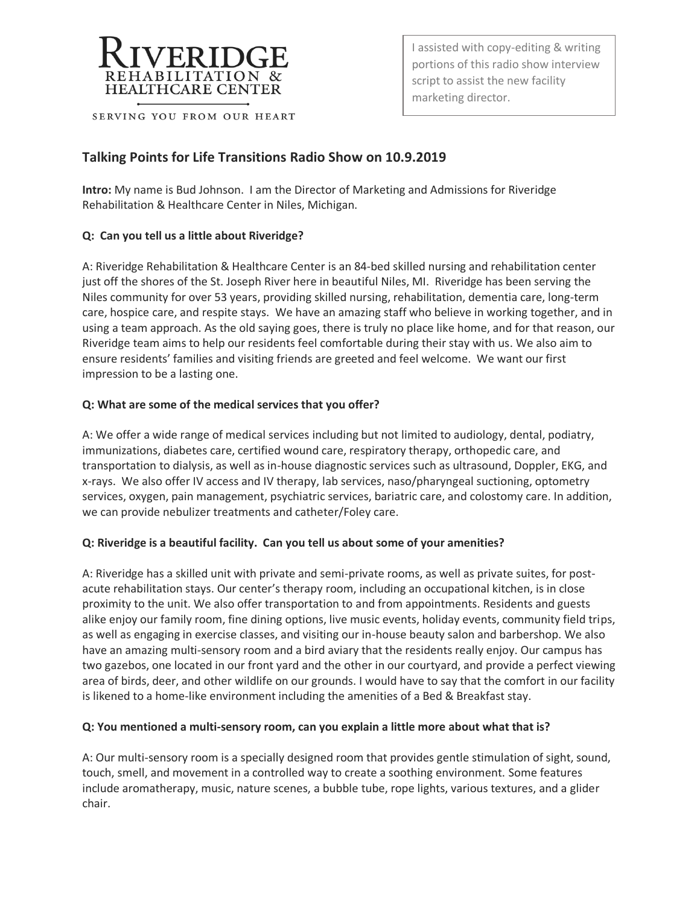

SERVING YOU FROM OUR HEART

I assisted with copy-editing & writing portions of this radio show interview script to assist the new facility marketing director.

# **Talking Points for Life Transitions Radio Show on 10.9.2019**

**Intro:** My name is Bud Johnson. I am the Director of Marketing and Admissions for Riveridge Rehabilitation & Healthcare Center in Niles, Michigan.

# **Q: Can you tell us a little about Riveridge?**

A: Riveridge Rehabilitation & Healthcare Center is an 84-bed skilled nursing and rehabilitation center just off the shores of the St. Joseph River here in beautiful Niles, MI. Riveridge has been serving the Niles community for over 53 years, providing skilled nursing, rehabilitation, dementia care, long-term care, hospice care, and respite stays. We have an amazing staff who believe in working together, and in using a team approach. As the old saying goes, there is truly no place like home, and for that reason, our Riveridge team aims to help our residents feel comfortable during their stay with us. We also aim to ensure residents' families and visiting friends are greeted and feel welcome. We want our first impression to be a lasting one.

### **Q: What are some of the medical services that you offer?**

A: We offer a wide range of medical services including but not limited to audiology, dental, podiatry, immunizations, diabetes care, certified wound care, respiratory therapy, orthopedic care, and transportation to dialysis, as well as in-house diagnostic services such as ultrasound, Doppler, EKG, and x-rays. We also offer IV access and IV therapy, lab services, naso/pharyngeal suctioning, optometry services, oxygen, pain management, psychiatric services, bariatric care, and colostomy care. In addition, we can provide nebulizer treatments and catheter/Foley care.

### **Q: Riveridge is a beautiful facility. Can you tell us about some of your amenities?**

A: Riveridge has a skilled unit with private and semi-private rooms, as well as private suites, for postacute rehabilitation stays. Our center's therapy room, including an occupational kitchen, is in close proximity to the unit. We also offer transportation to and from appointments. Residents and guests alike enjoy our family room, fine dining options, live music events, holiday events, community field trips, as well as engaging in exercise classes, and visiting our in-house beauty salon and barbershop. We also have an amazing multi-sensory room and a bird aviary that the residents really enjoy. Our campus has two gazebos, one located in our front yard and the other in our courtyard, and provide a perfect viewing area of birds, deer, and other wildlife on our grounds. I would have to say that the comfort in our facility is likened to a home-like environment including the amenities of a Bed & Breakfast stay.

### **Q: You mentioned a multi-sensory room, can you explain a little more about what that is?**

A: Our multi-sensory room is a specially designed room that provides gentle stimulation of sight, sound, touch, smell, and movement in a controlled way to create a soothing environment. Some features include aromatherapy, music, nature scenes, a bubble tube, rope lights, various textures, and a glider chair.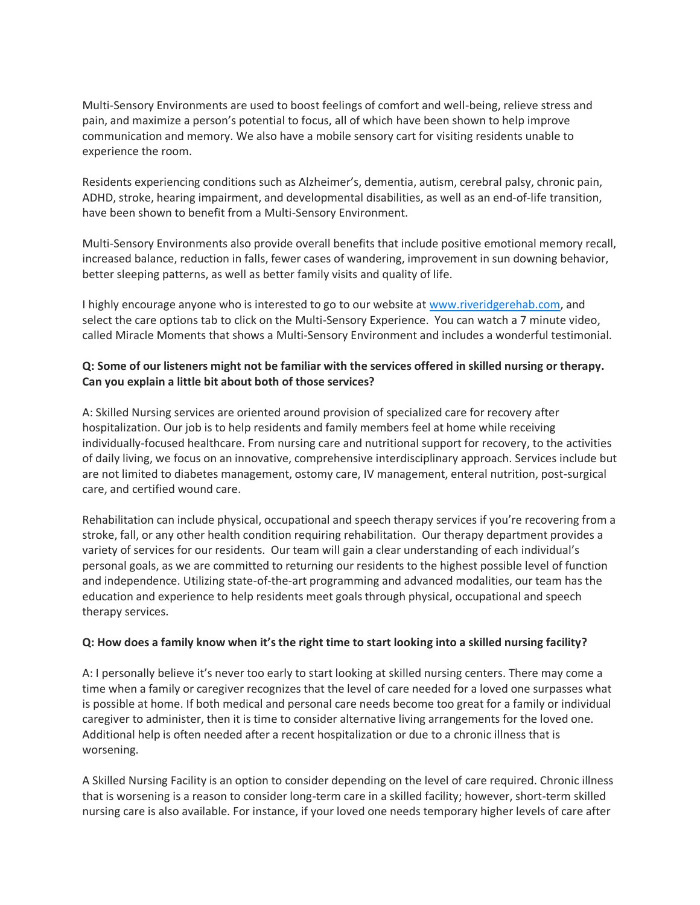Multi-Sensory Environments are used to boost feelings of comfort and well-being, relieve stress and pain, and maximize a person's potential to focus, all of which have been shown to help improve communication and memory. We also have a mobile sensory cart for visiting residents unable to experience the room.

Residents experiencing conditions such as Alzheimer's, dementia, autism, cerebral palsy, chronic pain, ADHD, stroke, hearing impairment, and developmental disabilities, as well as an end-of-life transition, have been shown to benefit from a Multi-Sensory Environment.

Multi-Sensory Environments also provide overall benefits that include positive emotional memory recall, increased balance, reduction in falls, fewer cases of wandering, improvement in sun downing behavior, better sleeping patterns, as well as better family visits and quality of life.

I highly encourage anyone who is interested to go to our website at [www.riveridgerehab.com,](http://www.riveridgerehab.com/) and select the care options tab to click on the Multi-Sensory Experience. You can watch a 7 minute video, called Miracle Moments that shows a Multi-Sensory Environment and includes a wonderful testimonial.

### **Q: Some of our listeners might not be familiar with the services offered in skilled nursing or therapy. Can you explain a little bit about both of those services?**

A: Skilled Nursing services are oriented around provision of specialized care for recovery after hospitalization. Our job is to help residents and family members feel at home while receiving individually-focused healthcare. From nursing care and nutritional support for recovery, to the activities of daily living, we focus on an innovative, comprehensive interdisciplinary approach. Services include but are not limited to diabetes management, ostomy care, IV management, enteral nutrition, post-surgical care, and certified wound care.

Rehabilitation can include physical, occupational and speech therapy services if you're recovering from a stroke, fall, or any other health condition requiring rehabilitation. Our therapy department provides a variety of services for our residents. Our team will gain a clear understanding of each individual's personal goals, as we are committed to returning our residents to the highest possible level of function and independence. Utilizing state-of-the-art programming and advanced modalities, our team has the education and experience to help residents meet goals through physical, occupational and speech therapy services.

### **Q: How does a family know when it's the right time to start looking into a skilled nursing facility?**

A: I personally believe it's never too early to start looking at skilled nursing centers. There may come a time when a family or caregiver recognizes that the level of care needed for a loved one surpasses what is possible at home. If both medical and personal care needs become too great for a family or individual caregiver to administer, then it is time to consider alternative living arrangements for the loved one. Additional help is often needed after a recent hospitalization or due to a chronic illness that is worsening.

A Skilled Nursing Facility is an option to consider depending on the level of care required. Chronic illness that is worsening is a reason to consider long-term care in a skilled facility; however, short-term skilled nursing care is also available. For instance, if your loved one needs temporary higher levels of care after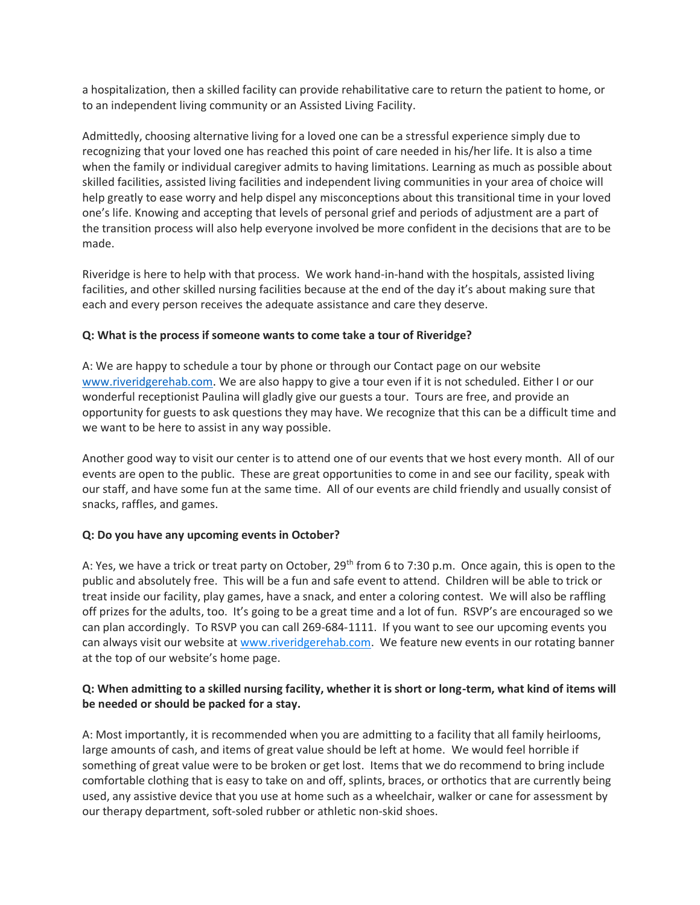a hospitalization, then a skilled facility can provide rehabilitative care to return the patient to home, or to an independent living community or an Assisted Living Facility.

Admittedly, choosing alternative living for a loved one can be a stressful experience simply due to recognizing that your loved one has reached this point of care needed in his/her life. It is also a time when the family or individual caregiver admits to having limitations. Learning as much as possible about skilled facilities, assisted living facilities and independent living communities in your area of choice will help greatly to ease worry and help dispel any misconceptions about this transitional time in your loved one's life. Knowing and accepting that levels of personal grief and periods of adjustment are a part of the transition process will also help everyone involved be more confident in the decisions that are to be made.

Riveridge is here to help with that process. We work hand-in-hand with the hospitals, assisted living facilities, and other skilled nursing facilities because at the end of the day it's about making sure that each and every person receives the adequate assistance and care they deserve.

### **Q: What is the process if someone wants to come take a tour of Riveridge?**

A: We are happy to schedule a tour by phone or through our Contact page on our website [www.riveridgerehab.com.](http://www.riveridgerehab.com/) We are also happy to give a tour even if it is not scheduled. Either I or our wonderful receptionist Paulina will gladly give our guests a tour. Tours are free, and provide an opportunity for guests to ask questions they may have. We recognize that this can be a difficult time and we want to be here to assist in any way possible.

Another good way to visit our center is to attend one of our events that we host every month. All of our events are open to the public. These are great opportunities to come in and see our facility, speak with our staff, and have some fun at the same time. All of our events are child friendly and usually consist of snacks, raffles, and games.

### **Q: Do you have any upcoming events in October?**

A: Yes, we have a trick or treat party on October, 29<sup>th</sup> from 6 to 7:30 p.m. Once again, this is open to the public and absolutely free. This will be a fun and safe event to attend. Children will be able to trick or treat inside our facility, play games, have a snack, and enter a coloring contest. We will also be raffling off prizes for the adults, too. It's going to be a great time and a lot of fun. RSVP's are encouraged so we can plan accordingly. To RSVP you can call 269-684-1111. If you want to see our upcoming events you can always visit our website at [www.riveridgerehab.com.](http://www.riveridgerehab.com/) We feature new events in our rotating banner at the top of our website's home page.

# **Q: When admitting to a skilled nursing facility, whether it is short or long-term, what kind of items will be needed or should be packed for a stay.**

A: Most importantly, it is recommended when you are admitting to a facility that all family heirlooms, large amounts of cash, and items of great value should be left at home. We would feel horrible if something of great value were to be broken or get lost. Items that we do recommend to bring include comfortable clothing that is easy to take on and off, splints, braces, or orthotics that are currently being used, any assistive device that you use at home such as a wheelchair, walker or cane for assessment by our therapy department, soft-soled rubber or athletic non-skid shoes.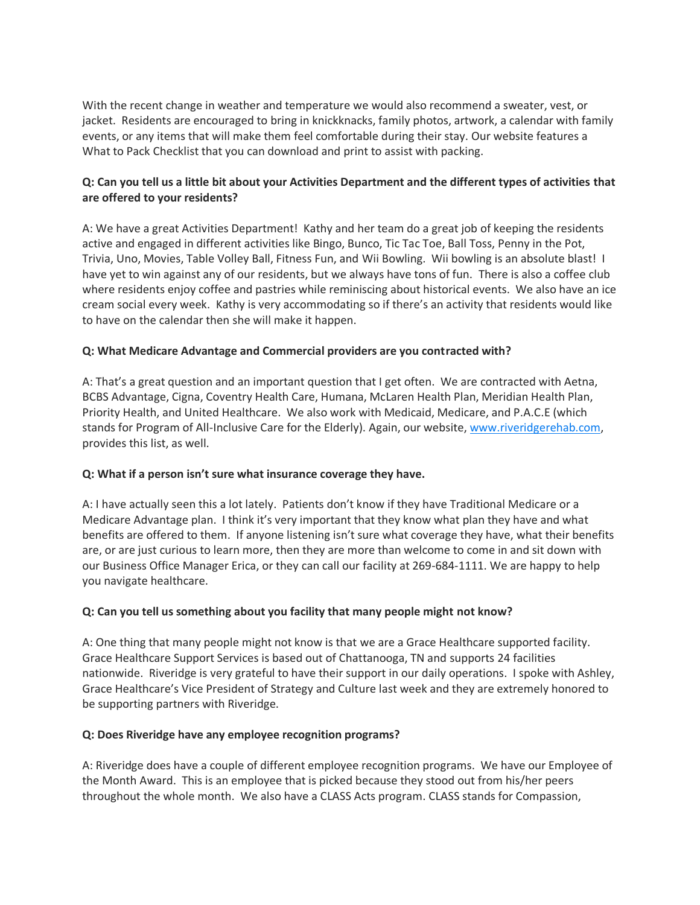With the recent change in weather and temperature we would also recommend a sweater, vest, or jacket. Residents are encouraged to bring in knickknacks, family photos, artwork, a calendar with family events, or any items that will make them feel comfortable during their stay. Our website features a What to Pack Checklist that you can download and print to assist with packing.

# **Q: Can you tell us a little bit about your Activities Department and the different types of activities that are offered to your residents?**

A: We have a great Activities Department! Kathy and her team do a great job of keeping the residents active and engaged in different activities like Bingo, Bunco, Tic Tac Toe, Ball Toss, Penny in the Pot, Trivia, Uno, Movies, Table Volley Ball, Fitness Fun, and Wii Bowling. Wii bowling is an absolute blast! I have yet to win against any of our residents, but we always have tons of fun. There is also a coffee club where residents enjoy coffee and pastries while reminiscing about historical events. We also have an ice cream social every week. Kathy is very accommodating so if there's an activity that residents would like to have on the calendar then she will make it happen.

# **Q: What Medicare Advantage and Commercial providers are you contracted with?**

A: That's a great question and an important question that I get often. We are contracted with Aetna, BCBS Advantage, Cigna, Coventry Health Care, Humana, McLaren Health Plan, Meridian Health Plan, Priority Health, and United Healthcare. We also work with Medicaid, Medicare, and P.A.C.E (which stands for Program of All-Inclusive Care for the Elderly). Again, our website, [www.riveridgerehab.com,](http://www.riveridgerehab.com/) provides this list, as well.

### **Q: What if a person isn't sure what insurance coverage they have.**

A: I have actually seen this a lot lately. Patients don't know if they have Traditional Medicare or a Medicare Advantage plan. I think it's very important that they know what plan they have and what benefits are offered to them. If anyone listening isn't sure what coverage they have, what their benefits are, or are just curious to learn more, then they are more than welcome to come in and sit down with our Business Office Manager Erica, or they can call our facility at 269-684-1111. We are happy to help you navigate healthcare.

### **Q: Can you tell us something about you facility that many people might not know?**

A: One thing that many people might not know is that we are a Grace Healthcare supported facility. Grace Healthcare Support Services is based out of Chattanooga, TN and supports 24 facilities nationwide. Riveridge is very grateful to have their support in our daily operations. I spoke with Ashley, Grace Healthcare's Vice President of Strategy and Culture last week and they are extremely honored to be supporting partners with Riveridge.

### **Q: Does Riveridge have any employee recognition programs?**

A: Riveridge does have a couple of different employee recognition programs. We have our Employee of the Month Award. This is an employee that is picked because they stood out from his/her peers throughout the whole month. We also have a CLASS Acts program. CLASS stands for Compassion,